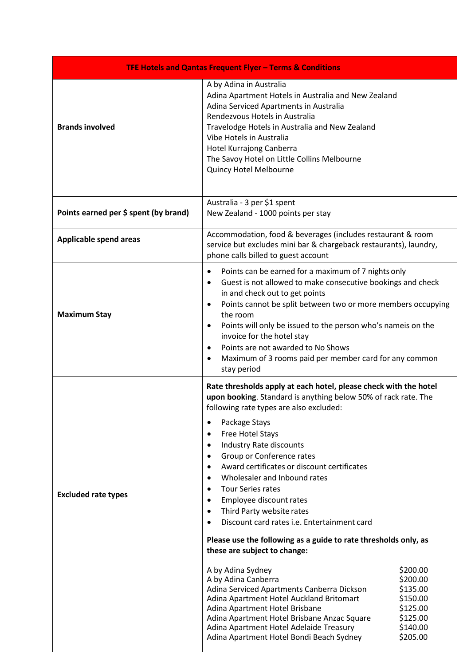| TFE Hotels and Qantas Frequent Flyer - Terms & Conditions |                                                                                                                                                                                                                                                                                                                                                                                                                                                                                                                                                                                                                                                                                                                                                                                                                                                                                                                                                                                                                                                                                                                       |  |
|-----------------------------------------------------------|-----------------------------------------------------------------------------------------------------------------------------------------------------------------------------------------------------------------------------------------------------------------------------------------------------------------------------------------------------------------------------------------------------------------------------------------------------------------------------------------------------------------------------------------------------------------------------------------------------------------------------------------------------------------------------------------------------------------------------------------------------------------------------------------------------------------------------------------------------------------------------------------------------------------------------------------------------------------------------------------------------------------------------------------------------------------------------------------------------------------------|--|
| <b>Brands involved</b>                                    | A by Adina in Australia<br>Adina Apartment Hotels in Australia and New Zealand<br>Adina Serviced Apartments in Australia<br>Rendezvous Hotels in Australia<br>Travelodge Hotels in Australia and New Zealand<br>Vibe Hotels in Australia<br>Hotel Kurrajong Canberra<br>The Savoy Hotel on Little Collins Melbourne<br>Quincy Hotel Melbourne                                                                                                                                                                                                                                                                                                                                                                                                                                                                                                                                                                                                                                                                                                                                                                         |  |
| Points earned per \$ spent (by brand)                     | Australia - 3 per \$1 spent<br>New Zealand - 1000 points per stay                                                                                                                                                                                                                                                                                                                                                                                                                                                                                                                                                                                                                                                                                                                                                                                                                                                                                                                                                                                                                                                     |  |
| <b>Applicable spend areas</b>                             | Accommodation, food & beverages (includes restaurant & room<br>service but excludes mini bar & chargeback restaurants), laundry,<br>phone calls billed to guest account                                                                                                                                                                                                                                                                                                                                                                                                                                                                                                                                                                                                                                                                                                                                                                                                                                                                                                                                               |  |
| <b>Maximum Stay</b>                                       | Points can be earned for a maximum of 7 nights only<br>$\bullet$<br>Guest is not allowed to make consecutive bookings and check<br>$\bullet$<br>in and check out to get points<br>Points cannot be split between two or more members occupying<br>the room<br>Points will only be issued to the person who's nameis on the<br>$\bullet$<br>invoice for the hotel stay<br>Points are not awarded to No Shows<br>$\bullet$<br>Maximum of 3 rooms paid per member card for any common<br>$\bullet$<br>stay period                                                                                                                                                                                                                                                                                                                                                                                                                                                                                                                                                                                                        |  |
| <b>Excluded rate types</b>                                | Rate thresholds apply at each hotel, please check with the hotel<br>upon booking. Standard is anything below 50% of rack rate. The<br>following rate types are also excluded:<br>Package Stays<br>$\bullet$<br>Free Hotel Stays<br>$\bullet$<br>Industry Rate discounts<br>$\bullet$<br>Group or Conference rates<br>Award certificates or discount certificates<br>$\bullet$<br>Wholesaler and Inbound rates<br>$\bullet$<br><b>Tour Series rates</b><br>$\bullet$<br>Employee discount rates<br>$\bullet$<br>Third Party website rates<br>$\bullet$<br>Discount card rates i.e. Entertainment card<br>Please use the following as a guide to rate thresholds only, as<br>these are subject to change:<br>A by Adina Sydney<br>\$200.00<br>A by Adina Canberra<br>\$200.00<br>Adina Serviced Apartments Canberra Dickson<br>\$135.00<br>Adina Apartment Hotel Auckland Britomart<br>\$150.00<br>Adina Apartment Hotel Brisbane<br>\$125.00<br>Adina Apartment Hotel Brisbane Anzac Square<br>\$125.00<br>Adina Apartment Hotel Adelaide Treasury<br>\$140.00<br>Adina Apartment Hotel Bondi Beach Sydney<br>\$205.00 |  |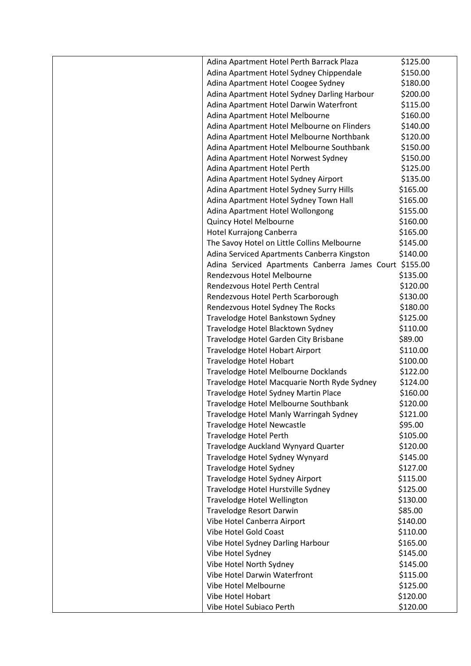| Adina Apartment Hotel Perth Barrack Plaza               | \$125.00 |
|---------------------------------------------------------|----------|
| Adina Apartment Hotel Sydney Chippendale                | \$150.00 |
| Adina Apartment Hotel Coogee Sydney                     | \$180.00 |
| Adina Apartment Hotel Sydney Darling Harbour            | \$200.00 |
| Adina Apartment Hotel Darwin Waterfront                 | \$115.00 |
| Adina Apartment Hotel Melbourne                         | \$160.00 |
| Adina Apartment Hotel Melbourne on Flinders             | \$140.00 |
| Adina Apartment Hotel Melbourne Northbank               | \$120.00 |
| Adina Apartment Hotel Melbourne Southbank               | \$150.00 |
| Adina Apartment Hotel Norwest Sydney                    | \$150.00 |
| Adina Apartment Hotel Perth                             | \$125.00 |
| Adina Apartment Hotel Sydney Airport                    | \$135.00 |
| Adina Apartment Hotel Sydney Surry Hills                | \$165.00 |
| Adina Apartment Hotel Sydney Town Hall                  | \$165.00 |
| Adina Apartment Hotel Wollongong                        | \$155.00 |
| Quincy Hotel Melbourne                                  | \$160.00 |
| Hotel Kurrajong Canberra                                | \$165.00 |
| The Savoy Hotel on Little Collins Melbourne             | \$145.00 |
| Adina Serviced Apartments Canberra Kingston             | \$140.00 |
| Adina Serviced Apartments Canberra James Court \$155.00 |          |
| Rendezvous Hotel Melbourne                              | \$135.00 |
| Rendezvous Hotel Perth Central                          | \$120.00 |
| Rendezvous Hotel Perth Scarborough                      | \$130.00 |
| Rendezvous Hotel Sydney The Rocks                       | \$180.00 |
| Travelodge Hotel Bankstown Sydney                       | \$125.00 |
| Travelodge Hotel Blacktown Sydney                       | \$110.00 |
| Travelodge Hotel Garden City Brisbane                   | \$89.00  |
| Travelodge Hotel Hobart Airport                         | \$110.00 |
| Travelodge Hotel Hobart                                 | \$100.00 |
| Travelodge Hotel Melbourne Docklands                    | \$122.00 |
| Travelodge Hotel Macquarie North Ryde Sydney            | \$124.00 |
| Travelodge Hotel Sydney Martin Place                    | \$160.00 |
| Travelodge Hotel Melbourne Southbank                    | \$120.00 |
| Travelodge Hotel Manly Warringah Sydney                 | \$121.00 |
| Travelodge Hotel Newcastle                              | \$95.00  |
| <b>Travelodge Hotel Perth</b>                           | \$105.00 |
| Travelodge Auckland Wynyard Quarter                     | \$120.00 |
| Travelodge Hotel Sydney Wynyard                         | \$145.00 |
| Travelodge Hotel Sydney                                 | \$127.00 |
| Travelodge Hotel Sydney Airport                         | \$115.00 |
| Travelodge Hotel Hurstville Sydney                      | \$125.00 |
| Travelodge Hotel Wellington                             | \$130.00 |
| <b>Travelodge Resort Darwin</b>                         | \$85.00  |
| Vibe Hotel Canberra Airport                             | \$140.00 |
| Vibe Hotel Gold Coast                                   | \$110.00 |
| Vibe Hotel Sydney Darling Harbour                       | \$165.00 |
| Vibe Hotel Sydney                                       | \$145.00 |
| Vibe Hotel North Sydney                                 | \$145.00 |
| Vibe Hotel Darwin Waterfront                            | \$115.00 |
| Vibe Hotel Melbourne                                    | \$125.00 |
| Vibe Hotel Hobart                                       | \$120.00 |
| Vibe Hotel Subiaco Perth                                | \$120.00 |